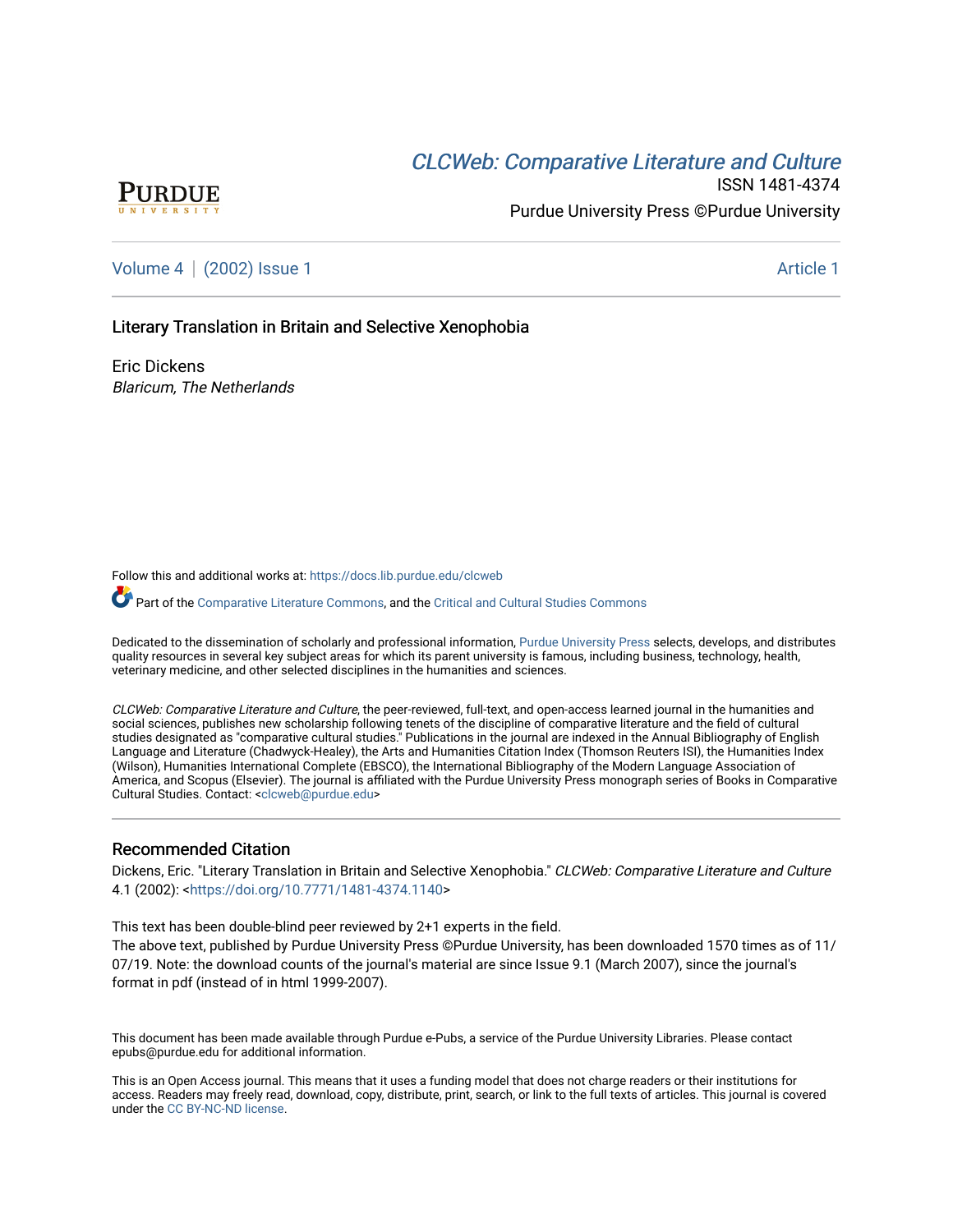# CLCW[eb: Comparative Liter](https://docs.lib.purdue.edu/clcweb)ature and Culture



ISSN 1481-4374 Purdue University Press ©Purdue University

[Volume 4](https://docs.lib.purdue.edu/clcweb/vol4) | [\(2002\) Issue 1](https://docs.lib.purdue.edu/clcweb/vol4/iss1) Article 1

## Literary Translation in Britain and Selective Xenophobia

Eric Dickens Blaricum, The Netherlands

Follow this and additional works at: [https://docs.lib.purdue.edu/clcweb](https://docs.lib.purdue.edu/clcweb?utm_source=docs.lib.purdue.edu%2Fclcweb%2Fvol4%2Fiss1%2F1&utm_medium=PDF&utm_campaign=PDFCoverPages)

Part of the [Comparative Literature Commons,](http://network.bepress.com/hgg/discipline/454?utm_source=docs.lib.purdue.edu%2Fclcweb%2Fvol4%2Fiss1%2F1&utm_medium=PDF&utm_campaign=PDFCoverPages) and the [Critical and Cultural Studies Commons](http://network.bepress.com/hgg/discipline/328?utm_source=docs.lib.purdue.edu%2Fclcweb%2Fvol4%2Fiss1%2F1&utm_medium=PDF&utm_campaign=PDFCoverPages) 

Dedicated to the dissemination of scholarly and professional information, [Purdue University Press](http://www.thepress.purdue.edu/) selects, develops, and distributes quality resources in several key subject areas for which its parent university is famous, including business, technology, health, veterinary medicine, and other selected disciplines in the humanities and sciences.

CLCWeb: Comparative Literature and Culture, the peer-reviewed, full-text, and open-access learned journal in the humanities and social sciences, publishes new scholarship following tenets of the discipline of comparative literature and the field of cultural studies designated as "comparative cultural studies." Publications in the journal are indexed in the Annual Bibliography of English Language and Literature (Chadwyck-Healey), the Arts and Humanities Citation Index (Thomson Reuters ISI), the Humanities Index (Wilson), Humanities International Complete (EBSCO), the International Bibliography of the Modern Language Association of America, and Scopus (Elsevier). The journal is affiliated with the Purdue University Press monograph series of Books in Comparative Cultural Studies. Contact: [<clcweb@purdue.edu](mailto:clcweb@purdue.edu)>

### Recommended Citation

Dickens, Eric. "Literary Translation in Britain and Selective Xenophobia." CLCWeb: Comparative Literature and Culture 4.1 (2002): [<https://doi.org/10.7771/1481-4374.1140>](https://doi.org/10.7771/1481-4374.1140)

This text has been double-blind peer reviewed by 2+1 experts in the field. The above text, published by Purdue University Press ©Purdue University, has been downloaded 1570 times as of 11/

07/19. Note: the download counts of the journal's material are since Issue 9.1 (March 2007), since the journal's format in pdf (instead of in html 1999-2007).

This document has been made available through Purdue e-Pubs, a service of the Purdue University Libraries. Please contact epubs@purdue.edu for additional information.

This is an Open Access journal. This means that it uses a funding model that does not charge readers or their institutions for access. Readers may freely read, download, copy, distribute, print, search, or link to the full texts of articles. This journal is covered under the [CC BY-NC-ND license.](https://creativecommons.org/licenses/by-nc-nd/4.0/)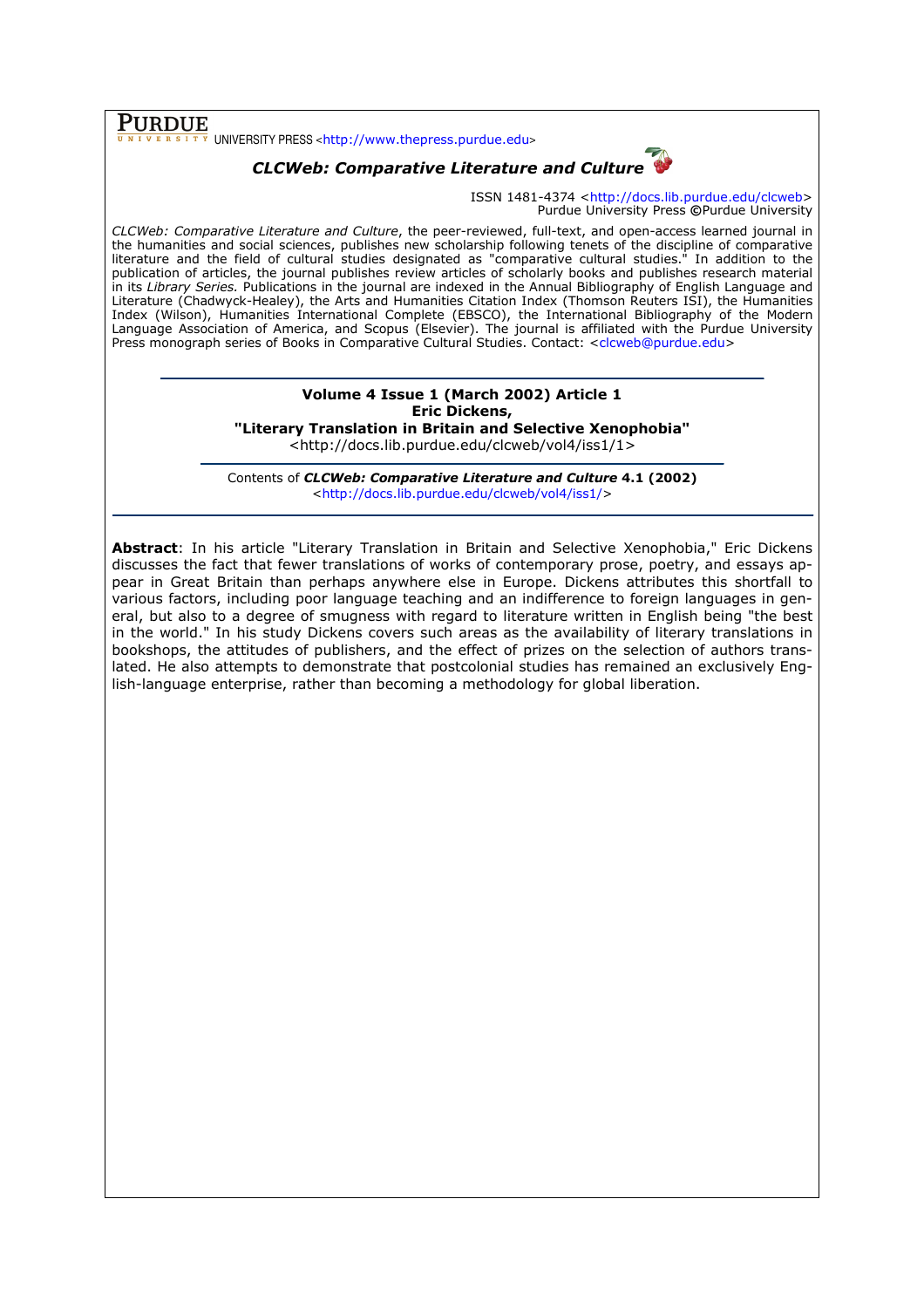$\overline{\textbf{PURDUE}}_{\overline{u}$   $\overline{u}$   $\overline{v}$   $\overline{r}$   $\overline{s}$  i  $\overline{r}$   $\overline{v}$  UNIVERSITY PRESS <http://www.thepress.purdue.edu>

## CLCWeb: Comparative Literature and Culture

ISSN 1481-4374 <http://docs.lib.purdue.edu/clcweb> Purdue University Press ©Purdue University

CLCWeb: Comparative Literature and Culture, the peer-reviewed, full-text, and open-access learned journal in the humanities and social sciences, publishes new scholarship following tenets of the discipline of comparative literature and the field of cultural studies designated as "comparative cultural studies." In addition to the publication of articles, the journal publishes review articles of scholarly books and publishes research material in its Library Series. Publications in the journal are indexed in the Annual Bibliography of English Language and Literature (Chadwyck-Healey), the Arts and Humanities Citation Index (Thomson Reuters ISI), the Humanities Index (Wilson), Humanities International Complete (EBSCO), the International Bibliography of the Modern Language Association of America, and Scopus (Elsevier). The journal is affiliated with the Purdue University Press monograph series of Books in Comparative Cultural Studies. Contact: <clcweb@purdue.edu>

## Volume 4 Issue 1 (March 2002) Article 1 Eric Dickens, "Literary Translation in Britain and Selective Xenophobia"

<http://docs.lib.purdue.edu/clcweb/vol4/iss1/1>

Contents of CLCWeb: Comparative Literature and Culture 4.1 (2002) <http://docs.lib.purdue.edu/clcweb/vol4/iss1/>

Abstract: In his article "Literary Translation in Britain and Selective Xenophobia," Eric Dickens discusses the fact that fewer translations of works of contemporary prose, poetry, and essays appear in Great Britain than perhaps anywhere else in Europe. Dickens attributes this shortfall to various factors, including poor language teaching and an indifference to foreign languages in general, but also to a degree of smugness with regard to literature written in English being "the best in the world." In his study Dickens covers such areas as the availability of literary translations in bookshops, the attitudes of publishers, and the effect of prizes on the selection of authors translated. He also attempts to demonstrate that postcolonial studies has remained an exclusively English-language enterprise, rather than becoming a methodology for global liberation.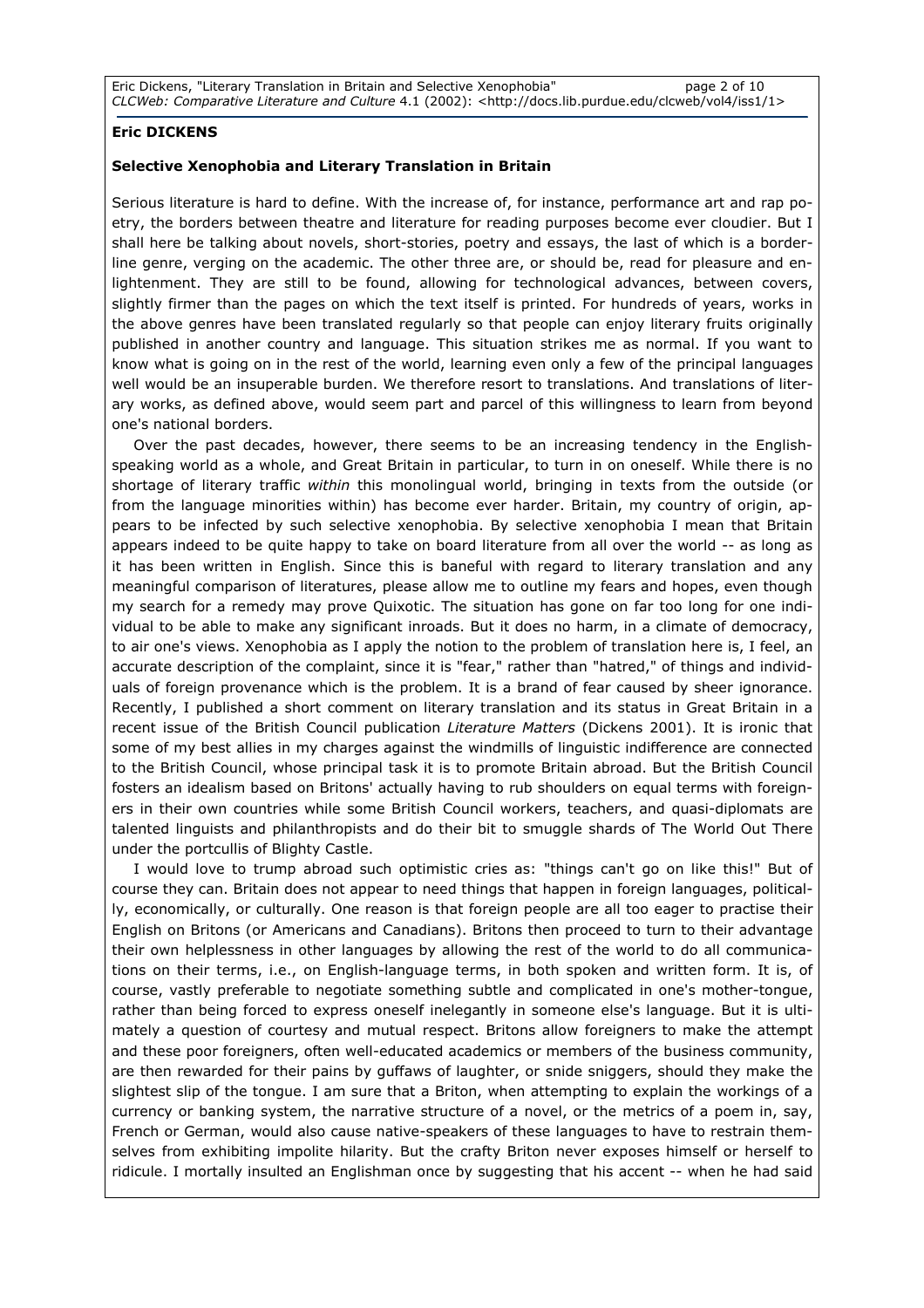Eric Dickens, "Literary Translation in Britain and Selective Xenophobia" page 2 of 10 CLCWeb: Comparative Literature and Culture 4.1 (2002): <http://docs.lib.purdue.edu/clcweb/vol4/iss1/1>

## Eric DICKENS

#### Selective Xenophobia and Literary Translation in Britain

Serious literature is hard to define. With the increase of, for instance, performance art and rap poetry, the borders between theatre and literature for reading purposes become ever cloudier. But I shall here be talking about novels, short-stories, poetry and essays, the last of which is a borderline genre, verging on the academic. The other three are, or should be, read for pleasure and enlightenment. They are still to be found, allowing for technological advances, between covers, slightly firmer than the pages on which the text itself is printed. For hundreds of years, works in the above genres have been translated regularly so that people can enjoy literary fruits originally published in another country and language. This situation strikes me as normal. If you want to know what is going on in the rest of the world, learning even only a few of the principal languages well would be an insuperable burden. We therefore resort to translations. And translations of literary works, as defined above, would seem part and parcel of this willingness to learn from beyond one's national borders.

Over the past decades, however, there seems to be an increasing tendency in the Englishspeaking world as a whole, and Great Britain in particular, to turn in on oneself. While there is no shortage of literary traffic within this monolingual world, bringing in texts from the outside (or from the language minorities within) has become ever harder. Britain, my country of origin, appears to be infected by such selective xenophobia. By selective xenophobia I mean that Britain appears indeed to be quite happy to take on board literature from all over the world -- as long as it has been written in English. Since this is baneful with regard to literary translation and any meaningful comparison of literatures, please allow me to outline my fears and hopes, even though my search for a remedy may prove Quixotic. The situation has gone on far too long for one individual to be able to make any significant inroads. But it does no harm, in a climate of democracy, to air one's views. Xenophobia as I apply the notion to the problem of translation here is, I feel, an accurate description of the complaint, since it is "fear," rather than "hatred," of things and individuals of foreign provenance which is the problem. It is a brand of fear caused by sheer ignorance. Recently, I published a short comment on literary translation and its status in Great Britain in a recent issue of the British Council publication *Literature Matters* (Dickens 2001). It is ironic that some of my best allies in my charges against the windmills of linguistic indifference are connected to the British Council, whose principal task it is to promote Britain abroad. But the British Council fosters an idealism based on Britons' actually having to rub shoulders on equal terms with foreigners in their own countries while some British Council workers, teachers, and quasi-diplomats are talented linguists and philanthropists and do their bit to smuggle shards of The World Out There under the portcullis of Blighty Castle.

I would love to trump abroad such optimistic cries as: "things can't go on like this!" But of course they can. Britain does not appear to need things that happen in foreign languages, politically, economically, or culturally. One reason is that foreign people are all too eager to practise their English on Britons (or Americans and Canadians). Britons then proceed to turn to their advantage their own helplessness in other languages by allowing the rest of the world to do all communications on their terms, i.e., on English-language terms, in both spoken and written form. It is, of course, vastly preferable to negotiate something subtle and complicated in one's mother-tongue, rather than being forced to express oneself inelegantly in someone else's language. But it is ultimately a question of courtesy and mutual respect. Britons allow foreigners to make the attempt and these poor foreigners, often well-educated academics or members of the business community, are then rewarded for their pains by guffaws of laughter, or snide sniggers, should they make the slightest slip of the tongue. I am sure that a Briton, when attempting to explain the workings of a currency or banking system, the narrative structure of a novel, or the metrics of a poem in, say, French or German, would also cause native-speakers of these languages to have to restrain themselves from exhibiting impolite hilarity. But the crafty Briton never exposes himself or herself to ridicule. I mortally insulted an Englishman once by suggesting that his accent -- when he had said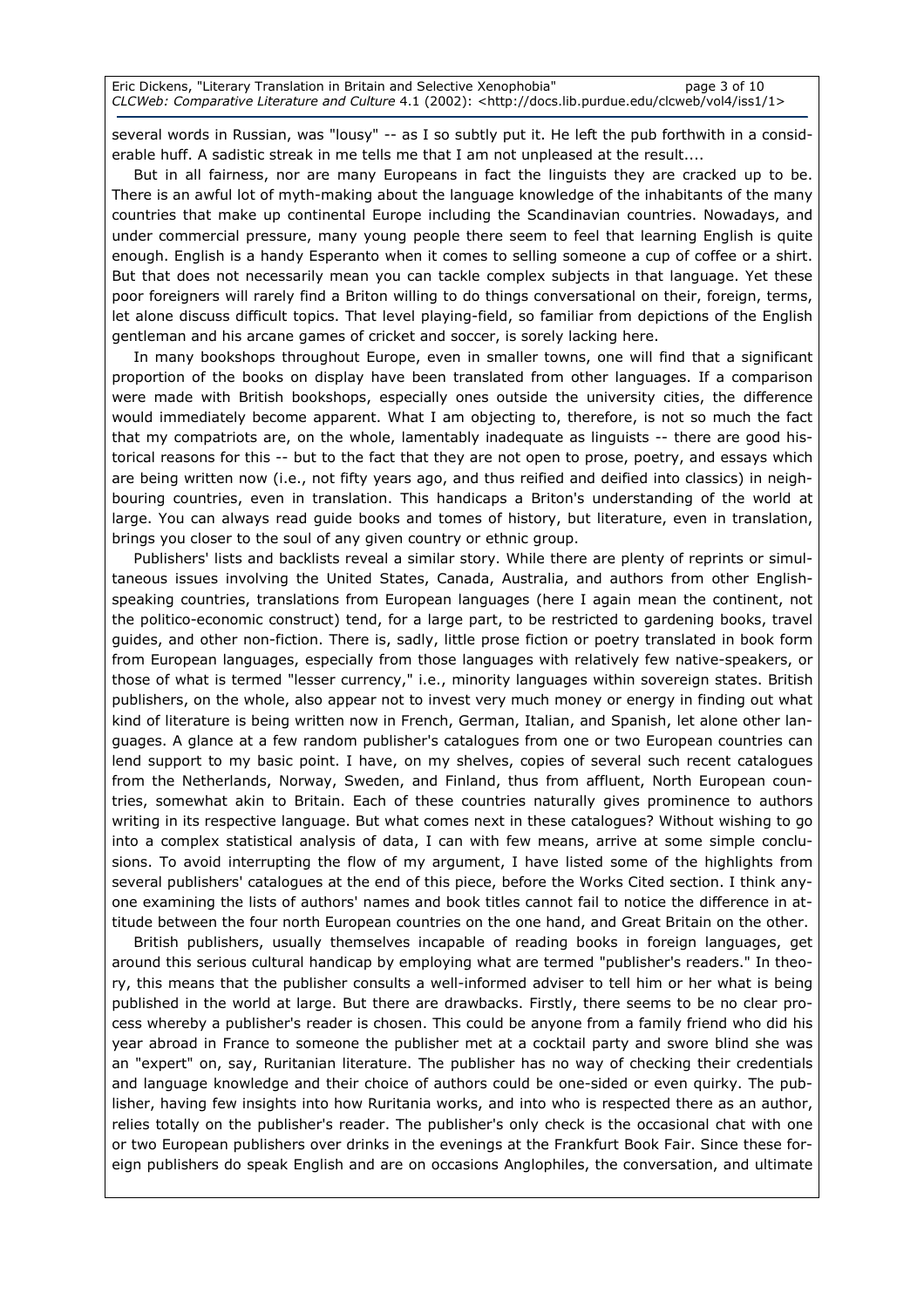Eric Dickens, "Literary Translation in Britain and Selective Xenophobia" page 3 of 10 CLCWeb: Comparative Literature and Culture 4.1 (2002): <http://docs.lib.purdue.edu/clcweb/vol4/iss1/1>

several words in Russian, was "lousy" -- as I so subtly put it. He left the pub forthwith in a considerable huff. A sadistic streak in me tells me that I am not unpleased at the result....

But in all fairness, nor are many Europeans in fact the linguists they are cracked up to be. There is an awful lot of myth-making about the language knowledge of the inhabitants of the many countries that make up continental Europe including the Scandinavian countries. Nowadays, and under commercial pressure, many young people there seem to feel that learning English is quite enough. English is a handy Esperanto when it comes to selling someone a cup of coffee or a shirt. But that does not necessarily mean you can tackle complex subjects in that language. Yet these poor foreigners will rarely find a Briton willing to do things conversational on their, foreign, terms, let alone discuss difficult topics. That level playing-field, so familiar from depictions of the English gentleman and his arcane games of cricket and soccer, is sorely lacking here.

In many bookshops throughout Europe, even in smaller towns, one will find that a significant proportion of the books on display have been translated from other languages. If a comparison were made with British bookshops, especially ones outside the university cities, the difference would immediately become apparent. What I am objecting to, therefore, is not so much the fact that my compatriots are, on the whole, lamentably inadequate as linguists -- there are good historical reasons for this -- but to the fact that they are not open to prose, poetry, and essays which are being written now (i.e., not fifty years ago, and thus reified and deified into classics) in neighbouring countries, even in translation. This handicaps a Briton's understanding of the world at large. You can always read guide books and tomes of history, but literature, even in translation, brings you closer to the soul of any given country or ethnic group.

Publishers' lists and backlists reveal a similar story. While there are plenty of reprints or simultaneous issues involving the United States, Canada, Australia, and authors from other Englishspeaking countries, translations from European languages (here I again mean the continent, not the politico-economic construct) tend, for a large part, to be restricted to gardening books, travel guides, and other non-fiction. There is, sadly, little prose fiction or poetry translated in book form from European languages, especially from those languages with relatively few native-speakers, or those of what is termed "lesser currency," i.e., minority languages within sovereign states. British publishers, on the whole, also appear not to invest very much money or energy in finding out what kind of literature is being written now in French, German, Italian, and Spanish, let alone other languages. A glance at a few random publisher's catalogues from one or two European countries can lend support to my basic point. I have, on my shelves, copies of several such recent catalogues from the Netherlands, Norway, Sweden, and Finland, thus from affluent, North European countries, somewhat akin to Britain. Each of these countries naturally gives prominence to authors writing in its respective language. But what comes next in these catalogues? Without wishing to go into a complex statistical analysis of data, I can with few means, arrive at some simple conclusions. To avoid interrupting the flow of my argument, I have listed some of the highlights from several publishers' catalogues at the end of this piece, before the Works Cited section. I think anyone examining the lists of authors' names and book titles cannot fail to notice the difference in attitude between the four north European countries on the one hand, and Great Britain on the other.

British publishers, usually themselves incapable of reading books in foreign languages, get around this serious cultural handicap by employing what are termed "publisher's readers." In theory, this means that the publisher consults a well-informed adviser to tell him or her what is being published in the world at large. But there are drawbacks. Firstly, there seems to be no clear process whereby a publisher's reader is chosen. This could be anyone from a family friend who did his year abroad in France to someone the publisher met at a cocktail party and swore blind she was an "expert" on, say, Ruritanian literature. The publisher has no way of checking their credentials and language knowledge and their choice of authors could be one-sided or even quirky. The publisher, having few insights into how Ruritania works, and into who is respected there as an author, relies totally on the publisher's reader. The publisher's only check is the occasional chat with one or two European publishers over drinks in the evenings at the Frankfurt Book Fair. Since these foreign publishers do speak English and are on occasions Anglophiles, the conversation, and ultimate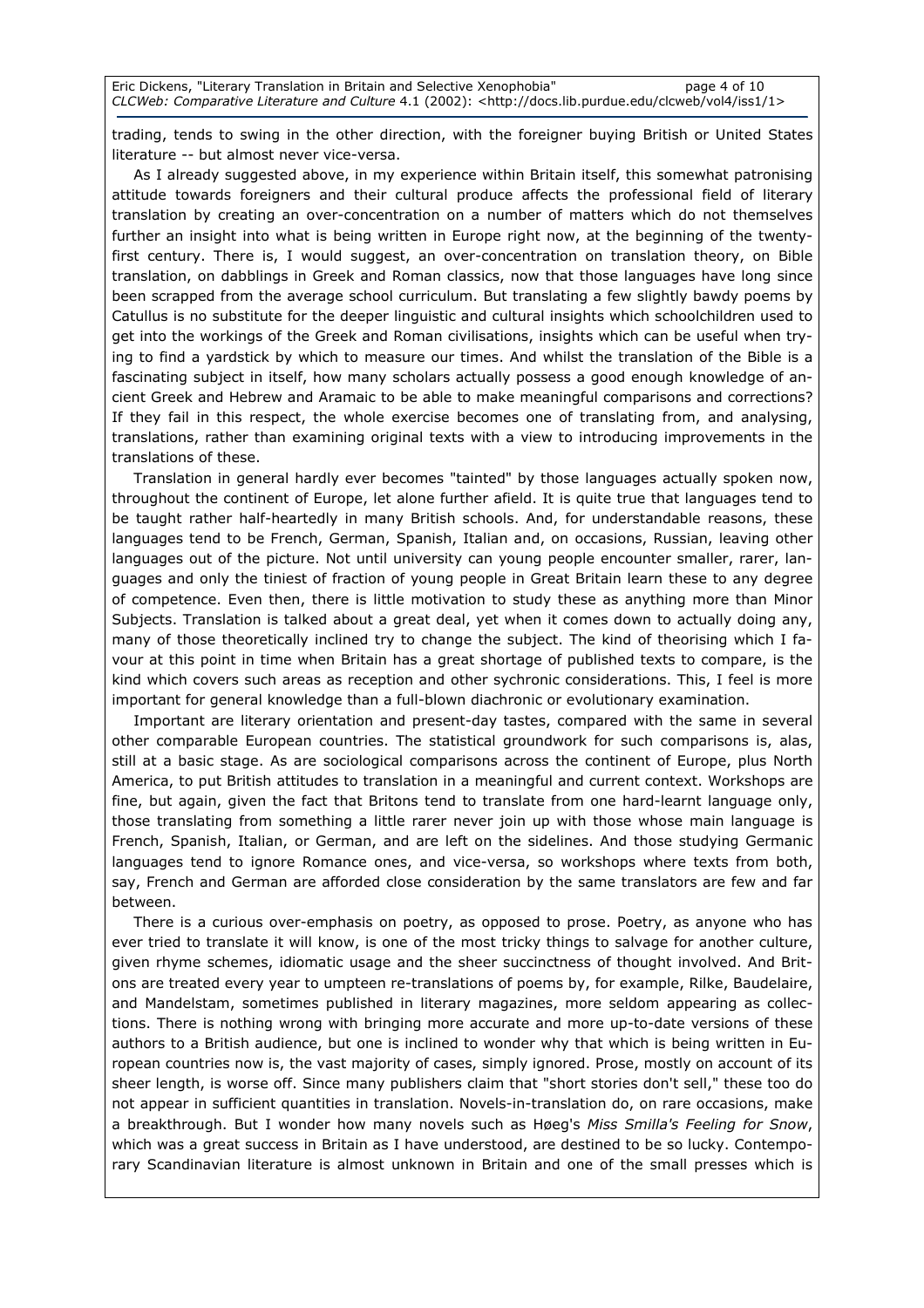Eric Dickens, "Literary Translation in Britain and Selective Xenophobia" page 4 of 10 CLCWeb: Comparative Literature and Culture 4.1 (2002): <http://docs.lib.purdue.edu/clcweb/vol4/iss1/1>

trading, tends to swing in the other direction, with the foreigner buying British or United States literature -- but almost never vice-versa.

As I already suggested above, in my experience within Britain itself, this somewhat patronising attitude towards foreigners and their cultural produce affects the professional field of literary translation by creating an over-concentration on a number of matters which do not themselves further an insight into what is being written in Europe right now, at the beginning of the twentyfirst century. There is, I would suggest, an over-concentration on translation theory, on Bible translation, on dabblings in Greek and Roman classics, now that those languages have long since been scrapped from the average school curriculum. But translating a few slightly bawdy poems by Catullus is no substitute for the deeper linguistic and cultural insights which schoolchildren used to get into the workings of the Greek and Roman civilisations, insights which can be useful when trying to find a yardstick by which to measure our times. And whilst the translation of the Bible is a fascinating subject in itself, how many scholars actually possess a good enough knowledge of ancient Greek and Hebrew and Aramaic to be able to make meaningful comparisons and corrections? If they fail in this respect, the whole exercise becomes one of translating from, and analysing, translations, rather than examining original texts with a view to introducing improvements in the translations of these.

Translation in general hardly ever becomes "tainted" by those languages actually spoken now, throughout the continent of Europe, let alone further afield. It is quite true that languages tend to be taught rather half-heartedly in many British schools. And, for understandable reasons, these languages tend to be French, German, Spanish, Italian and, on occasions, Russian, leaving other languages out of the picture. Not until university can young people encounter smaller, rarer, languages and only the tiniest of fraction of young people in Great Britain learn these to any degree of competence. Even then, there is little motivation to study these as anything more than Minor Subjects. Translation is talked about a great deal, yet when it comes down to actually doing any, many of those theoretically inclined try to change the subject. The kind of theorising which I favour at this point in time when Britain has a great shortage of published texts to compare, is the kind which covers such areas as reception and other sychronic considerations. This, I feel is more important for general knowledge than a full-blown diachronic or evolutionary examination.

Important are literary orientation and present-day tastes, compared with the same in several other comparable European countries. The statistical groundwork for such comparisons is, alas, still at a basic stage. As are sociological comparisons across the continent of Europe, plus North America, to put British attitudes to translation in a meaningful and current context. Workshops are fine, but again, given the fact that Britons tend to translate from one hard-learnt language only, those translating from something a little rarer never join up with those whose main language is French, Spanish, Italian, or German, and are left on the sidelines. And those studying Germanic languages tend to ignore Romance ones, and vice-versa, so workshops where texts from both, say, French and German are afforded close consideration by the same translators are few and far between.

There is a curious over-emphasis on poetry, as opposed to prose. Poetry, as anyone who has ever tried to translate it will know, is one of the most tricky things to salvage for another culture, given rhyme schemes, idiomatic usage and the sheer succinctness of thought involved. And Britons are treated every year to umpteen re-translations of poems by, for example, Rilke, Baudelaire, and Mandelstam, sometimes published in literary magazines, more seldom appearing as collections. There is nothing wrong with bringing more accurate and more up-to-date versions of these authors to a British audience, but one is inclined to wonder why that which is being written in European countries now is, the vast majority of cases, simply ignored. Prose, mostly on account of its sheer length, is worse off. Since many publishers claim that "short stories don't sell," these too do not appear in sufficient quantities in translation. Novels-in-translation do, on rare occasions, make a breakthrough. But I wonder how many novels such as Høeg's Miss Smilla's Feeling for Snow, which was a great success in Britain as I have understood, are destined to be so lucky. Contemporary Scandinavian literature is almost unknown in Britain and one of the small presses which is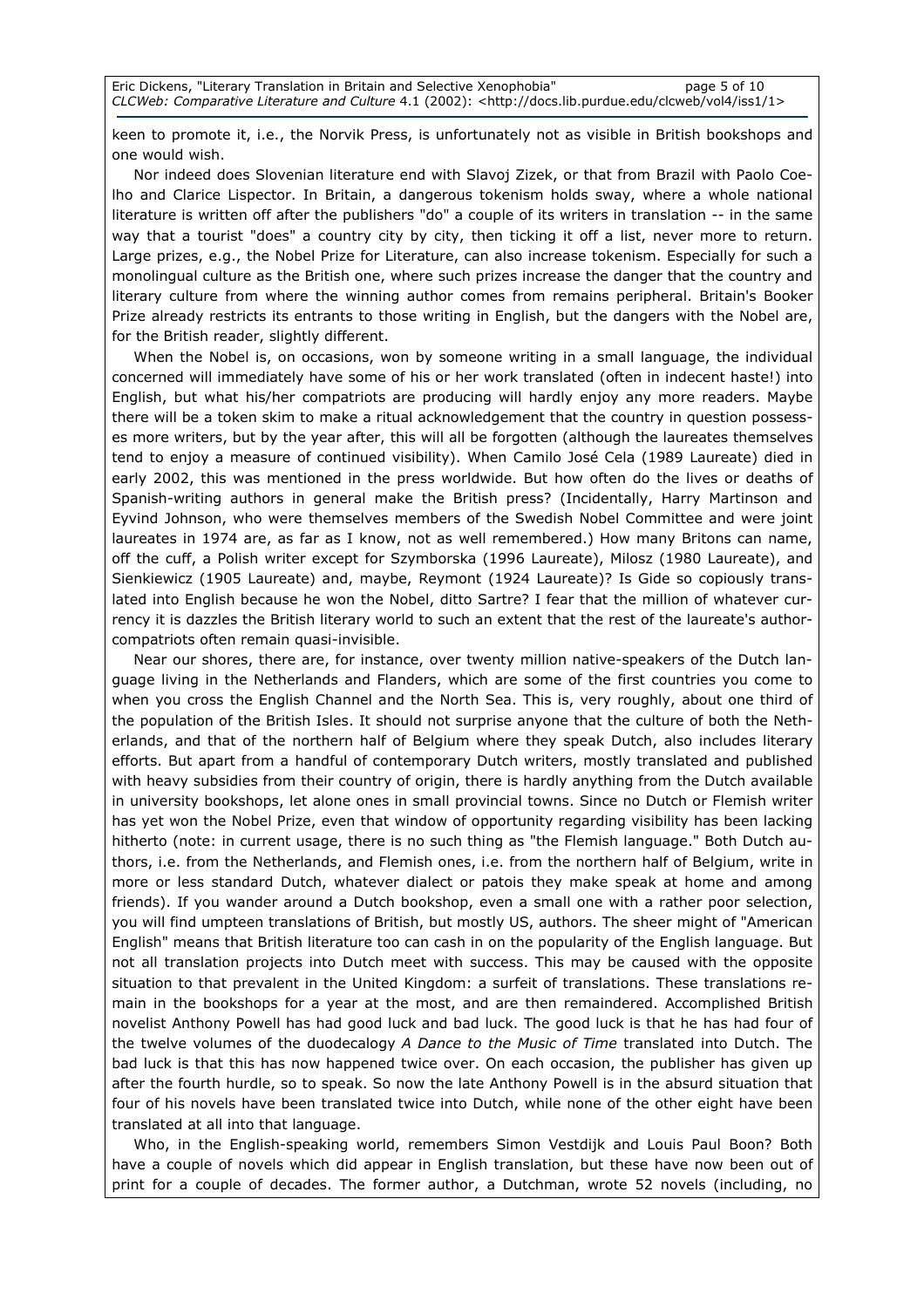Eric Dickens, "Literary Translation in Britain and Selective Xenophobia" page 5 of 10 CLCWeb: Comparative Literature and Culture 4.1 (2002): <http://docs.lib.purdue.edu/clcweb/vol4/iss1/1>

keen to promote it, i.e., the Norvik Press, is unfortunately not as visible in British bookshops and one would wish.

Nor indeed does Slovenian literature end with Slavoj Zizek, or that from Brazil with Paolo Coelho and Clarice Lispector. In Britain, a dangerous tokenism holds sway, where a whole national literature is written off after the publishers "do" a couple of its writers in translation -- in the same way that a tourist "does" a country city by city, then ticking it off a list, never more to return. Large prizes, e.g., the Nobel Prize for Literature, can also increase tokenism. Especially for such a monolingual culture as the British one, where such prizes increase the danger that the country and literary culture from where the winning author comes from remains peripheral. Britain's Booker Prize already restricts its entrants to those writing in English, but the dangers with the Nobel are, for the British reader, slightly different.

When the Nobel is, on occasions, won by someone writing in a small language, the individual concerned will immediately have some of his or her work translated (often in indecent haste!) into English, but what his/her compatriots are producing will hardly enjoy any more readers. Maybe there will be a token skim to make a ritual acknowledgement that the country in question possesses more writers, but by the year after, this will all be forgotten (although the laureates themselves tend to enjoy a measure of continued visibility). When Camilo José Cela (1989 Laureate) died in early 2002, this was mentioned in the press worldwide. But how often do the lives or deaths of Spanish-writing authors in general make the British press? (Incidentally, Harry Martinson and Eyvind Johnson, who were themselves members of the Swedish Nobel Committee and were joint laureates in 1974 are, as far as I know, not as well remembered.) How many Britons can name, off the cuff, a Polish writer except for Szymborska (1996 Laureate), Milosz (1980 Laureate), and Sienkiewicz (1905 Laureate) and, maybe, Reymont (1924 Laureate)? Is Gide so copiously translated into English because he won the Nobel, ditto Sartre? I fear that the million of whatever currency it is dazzles the British literary world to such an extent that the rest of the laureate's authorcompatriots often remain quasi-invisible.

Near our shores, there are, for instance, over twenty million native-speakers of the Dutch language living in the Netherlands and Flanders, which are some of the first countries you come to when you cross the English Channel and the North Sea. This is, very roughly, about one third of the population of the British Isles. It should not surprise anyone that the culture of both the Netherlands, and that of the northern half of Belgium where they speak Dutch, also includes literary efforts. But apart from a handful of contemporary Dutch writers, mostly translated and published with heavy subsidies from their country of origin, there is hardly anything from the Dutch available in university bookshops, let alone ones in small provincial towns. Since no Dutch or Flemish writer has yet won the Nobel Prize, even that window of opportunity regarding visibility has been lacking hitherto (note: in current usage, there is no such thing as "the Flemish language." Both Dutch authors, i.e. from the Netherlands, and Flemish ones, i.e. from the northern half of Belgium, write in more or less standard Dutch, whatever dialect or patois they make speak at home and among friends). If you wander around a Dutch bookshop, even a small one with a rather poor selection, you will find umpteen translations of British, but mostly US, authors. The sheer might of "American English" means that British literature too can cash in on the popularity of the English language. But not all translation projects into Dutch meet with success. This may be caused with the opposite situation to that prevalent in the United Kingdom: a surfeit of translations. These translations remain in the bookshops for a year at the most, and are then remaindered. Accomplished British novelist Anthony Powell has had good luck and bad luck. The good luck is that he has had four of the twelve volumes of the duodecalogy A Dance to the Music of Time translated into Dutch. The bad luck is that this has now happened twice over. On each occasion, the publisher has given up after the fourth hurdle, so to speak. So now the late Anthony Powell is in the absurd situation that four of his novels have been translated twice into Dutch, while none of the other eight have been translated at all into that language.

Who, in the English-speaking world, remembers Simon Vestdijk and Louis Paul Boon? Both have a couple of novels which did appear in English translation, but these have now been out of print for a couple of decades. The former author, a Dutchman, wrote 52 novels (including, no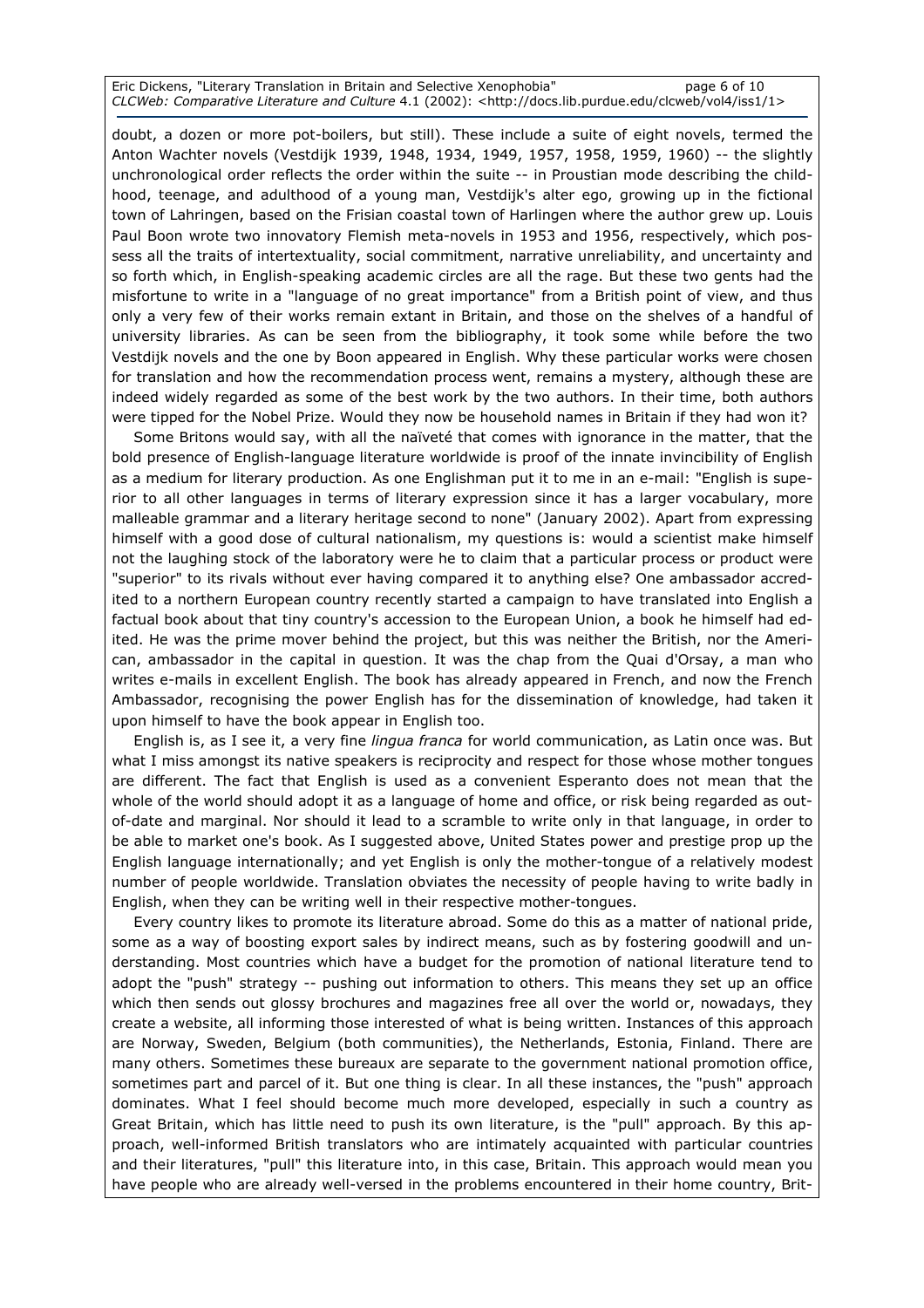Eric Dickens, "Literary Translation in Britain and Selective Xenophobia" page 6 of 10 CLCWeb: Comparative Literature and Culture 4.1 (2002): <http://docs.lib.purdue.edu/clcweb/vol4/iss1/1>

doubt, a dozen or more pot-boilers, but still). These include a suite of eight novels, termed the Anton Wachter novels (Vestdijk 1939, 1948, 1934, 1949, 1957, 1958, 1959, 1960) -- the slightly unchronological order reflects the order within the suite -- in Proustian mode describing the childhood, teenage, and adulthood of a young man, Vestdijk's alter ego, growing up in the fictional town of Lahringen, based on the Frisian coastal town of Harlingen where the author grew up. Louis Paul Boon wrote two innovatory Flemish meta-novels in 1953 and 1956, respectively, which possess all the traits of intertextuality, social commitment, narrative unreliability, and uncertainty and so forth which, in English-speaking academic circles are all the rage. But these two gents had the misfortune to write in a "language of no great importance" from a British point of view, and thus only a very few of their works remain extant in Britain, and those on the shelves of a handful of university libraries. As can be seen from the bibliography, it took some while before the two Vestdijk novels and the one by Boon appeared in English. Why these particular works were chosen for translation and how the recommendation process went, remains a mystery, although these are indeed widely regarded as some of the best work by the two authors. In their time, both authors were tipped for the Nobel Prize. Would they now be household names in Britain if they had won it?

Some Britons would say, with all the naïveté that comes with ignorance in the matter, that the bold presence of English-language literature worldwide is proof of the innate invincibility of English as a medium for literary production. As one Englishman put it to me in an e-mail: "English is superior to all other languages in terms of literary expression since it has a larger vocabulary, more malleable grammar and a literary heritage second to none" (January 2002). Apart from expressing himself with a good dose of cultural nationalism, my questions is: would a scientist make himself not the laughing stock of the laboratory were he to claim that a particular process or product were "superior" to its rivals without ever having compared it to anything else? One ambassador accredited to a northern European country recently started a campaign to have translated into English a factual book about that tiny country's accession to the European Union, a book he himself had edited. He was the prime mover behind the project, but this was neither the British, nor the American, ambassador in the capital in question. It was the chap from the Quai d'Orsay, a man who writes e-mails in excellent English. The book has already appeared in French, and now the French Ambassador, recognising the power English has for the dissemination of knowledge, had taken it upon himself to have the book appear in English too.

English is, as I see it, a very fine *lingua franca* for world communication, as Latin once was. But what I miss amongst its native speakers is reciprocity and respect for those whose mother tongues are different. The fact that English is used as a convenient Esperanto does not mean that the whole of the world should adopt it as a language of home and office, or risk being regarded as outof-date and marginal. Nor should it lead to a scramble to write only in that language, in order to be able to market one's book. As I suggested above, United States power and prestige prop up the English language internationally; and yet English is only the mother-tongue of a relatively modest number of people worldwide. Translation obviates the necessity of people having to write badly in English, when they can be writing well in their respective mother-tongues.

Every country likes to promote its literature abroad. Some do this as a matter of national pride, some as a way of boosting export sales by indirect means, such as by fostering goodwill and understanding. Most countries which have a budget for the promotion of national literature tend to adopt the "push" strategy -- pushing out information to others. This means they set up an office which then sends out glossy brochures and magazines free all over the world or, nowadays, they create a website, all informing those interested of what is being written. Instances of this approach are Norway, Sweden, Belgium (both communities), the Netherlands, Estonia, Finland. There are many others. Sometimes these bureaux are separate to the government national promotion office, sometimes part and parcel of it. But one thing is clear. In all these instances, the "push" approach dominates. What I feel should become much more developed, especially in such a country as Great Britain, which has little need to push its own literature, is the "pull" approach. By this approach, well-informed British translators who are intimately acquainted with particular countries and their literatures, "pull" this literature into, in this case, Britain. This approach would mean you have people who are already well-versed in the problems encountered in their home country, Brit-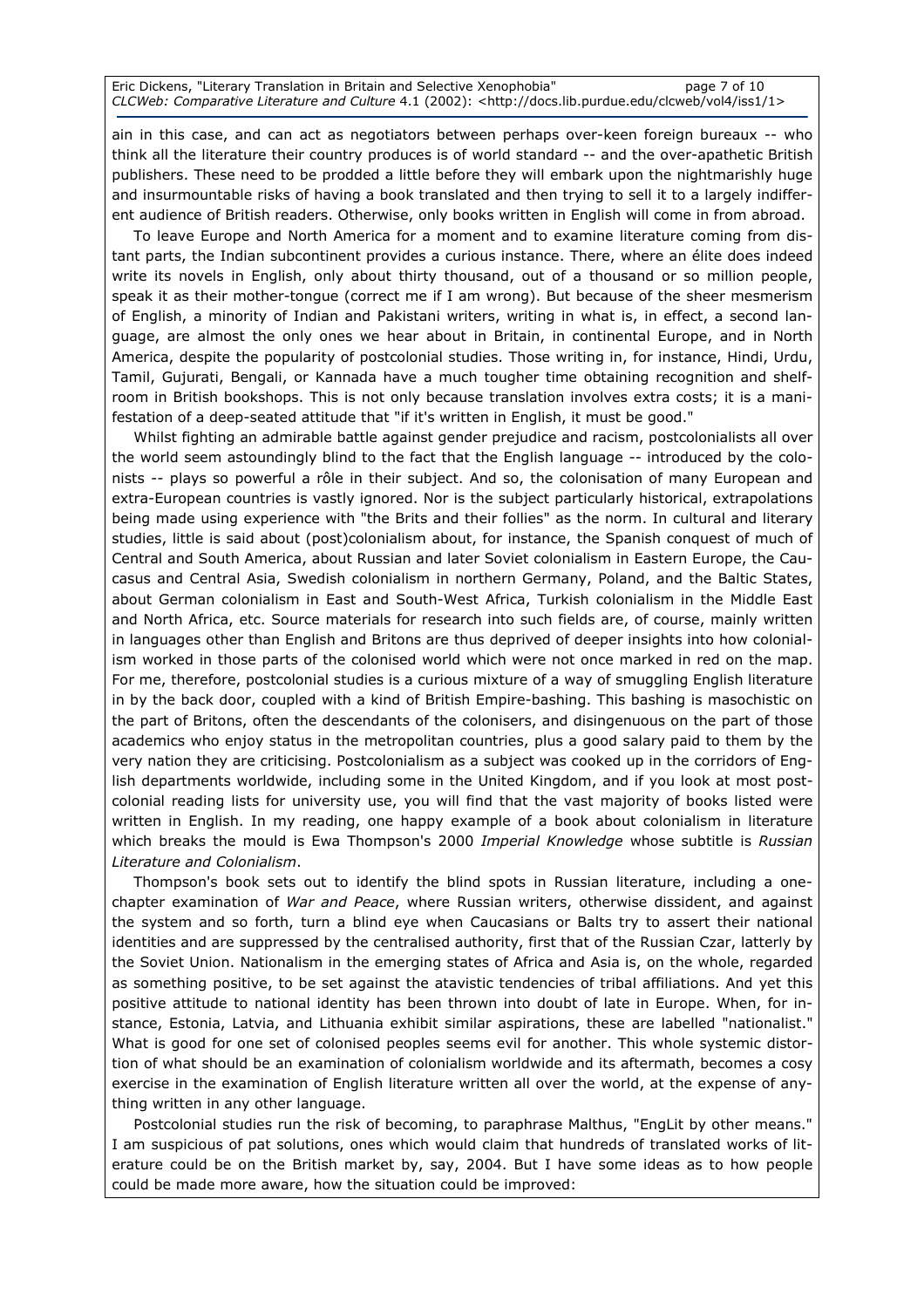Eric Dickens, "Literary Translation in Britain and Selective Xenophobia" page 7 of 10 CLCWeb: Comparative Literature and Culture 4.1 (2002): <http://docs.lib.purdue.edu/clcweb/vol4/iss1/1>

ain in this case, and can act as negotiators between perhaps over-keen foreign bureaux -- who think all the literature their country produces is of world standard -- and the over-apathetic British publishers. These need to be prodded a little before they will embark upon the nightmarishly huge and insurmountable risks of having a book translated and then trying to sell it to a largely indifferent audience of British readers. Otherwise, only books written in English will come in from abroad.

To leave Europe and North America for a moment and to examine literature coming from distant parts, the Indian subcontinent provides a curious instance. There, where an élite does indeed write its novels in English, only about thirty thousand, out of a thousand or so million people, speak it as their mother-tongue (correct me if I am wrong). But because of the sheer mesmerism of English, a minority of Indian and Pakistani writers, writing in what is, in effect, a second language, are almost the only ones we hear about in Britain, in continental Europe, and in North America, despite the popularity of postcolonial studies. Those writing in, for instance, Hindi, Urdu, Tamil, Gujurati, Bengali, or Kannada have a much tougher time obtaining recognition and shelfroom in British bookshops. This is not only because translation involves extra costs; it is a manifestation of a deep-seated attitude that "if it's written in English, it must be good."

Whilst fighting an admirable battle against gender prejudice and racism, postcolonialists all over the world seem astoundingly blind to the fact that the English language -- introduced by the colonists -- plays so powerful a rôle in their subject. And so, the colonisation of many European and extra-European countries is vastly ignored. Nor is the subject particularly historical, extrapolations being made using experience with "the Brits and their follies" as the norm. In cultural and literary studies, little is said about (post)colonialism about, for instance, the Spanish conquest of much of Central and South America, about Russian and later Soviet colonialism in Eastern Europe, the Caucasus and Central Asia, Swedish colonialism in northern Germany, Poland, and the Baltic States, about German colonialism in East and South-West Africa, Turkish colonialism in the Middle East and North Africa, etc. Source materials for research into such fields are, of course, mainly written in languages other than English and Britons are thus deprived of deeper insights into how colonialism worked in those parts of the colonised world which were not once marked in red on the map. For me, therefore, postcolonial studies is a curious mixture of a way of smuggling English literature in by the back door, coupled with a kind of British Empire-bashing. This bashing is masochistic on the part of Britons, often the descendants of the colonisers, and disingenuous on the part of those academics who enjoy status in the metropolitan countries, plus a good salary paid to them by the very nation they are criticising. Postcolonialism as a subject was cooked up in the corridors of English departments worldwide, including some in the United Kingdom, and if you look at most postcolonial reading lists for university use, you will find that the vast majority of books listed were written in English. In my reading, one happy example of a book about colonialism in literature which breaks the mould is Ewa Thompson's 2000 Imperial Knowledge whose subtitle is Russian Literature and Colonialism.

Thompson's book sets out to identify the blind spots in Russian literature, including a onechapter examination of War and Peace, where Russian writers, otherwise dissident, and against the system and so forth, turn a blind eye when Caucasians or Balts try to assert their national identities and are suppressed by the centralised authority, first that of the Russian Czar, latterly by the Soviet Union. Nationalism in the emerging states of Africa and Asia is, on the whole, regarded as something positive, to be set against the atavistic tendencies of tribal affiliations. And yet this positive attitude to national identity has been thrown into doubt of late in Europe. When, for instance, Estonia, Latvia, and Lithuania exhibit similar aspirations, these are labelled "nationalist." What is good for one set of colonised peoples seems evil for another. This whole systemic distortion of what should be an examination of colonialism worldwide and its aftermath, becomes a cosy exercise in the examination of English literature written all over the world, at the expense of anything written in any other language.

Postcolonial studies run the risk of becoming, to paraphrase Malthus, "EngLit by other means." I am suspicious of pat solutions, ones which would claim that hundreds of translated works of literature could be on the British market by, say, 2004. But I have some ideas as to how people could be made more aware, how the situation could be improved: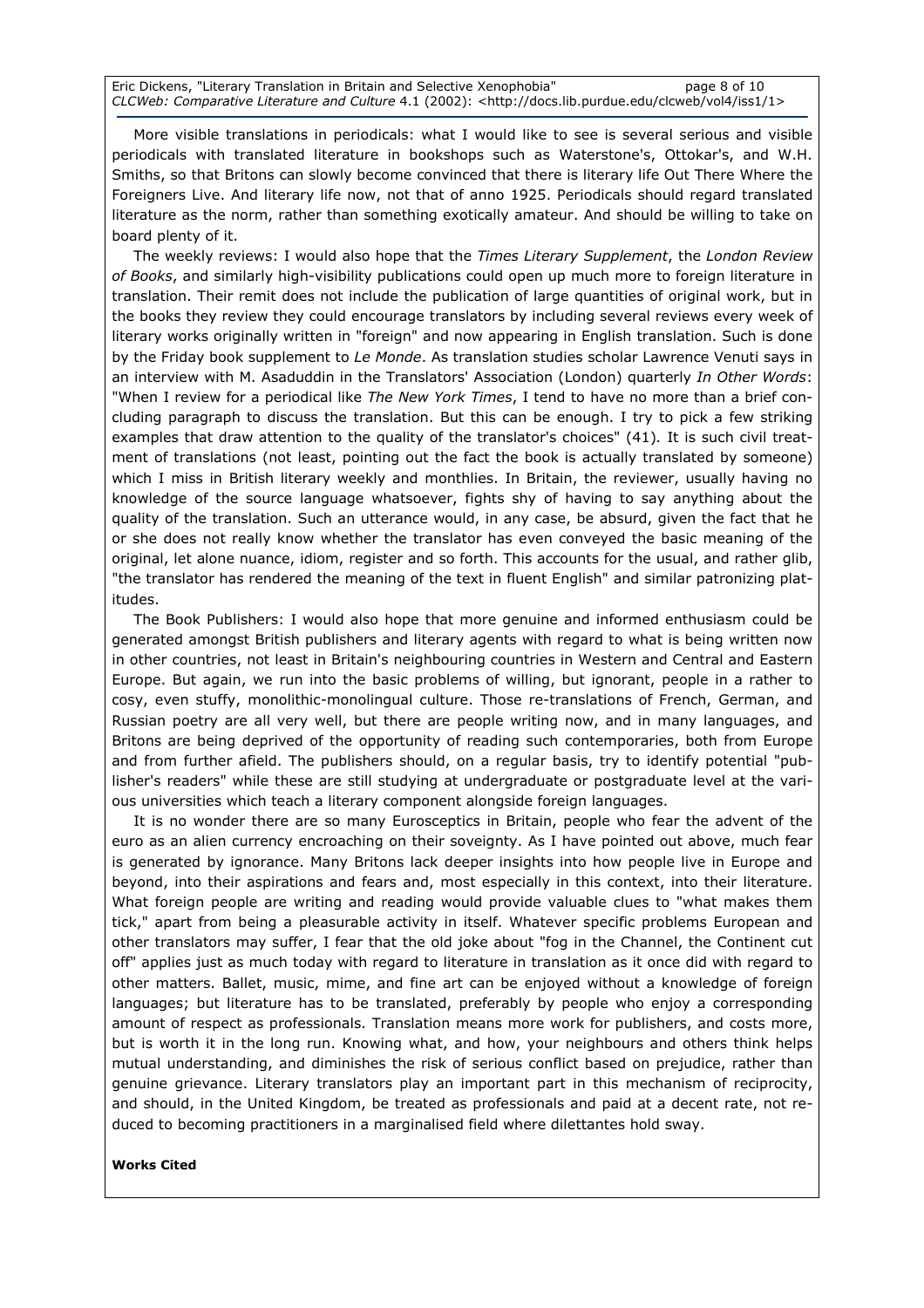Eric Dickens, "Literary Translation in Britain and Selective Xenophobia" page 8 of 10 CLCWeb: Comparative Literature and Culture 4.1 (2002): <http://docs.lib.purdue.edu/clcweb/vol4/iss1/1>

More visible translations in periodicals: what I would like to see is several serious and visible periodicals with translated literature in bookshops such as Waterstone's, Ottokar's, and W.H. Smiths, so that Britons can slowly become convinced that there is literary life Out There Where the Foreigners Live. And literary life now, not that of anno 1925. Periodicals should regard translated literature as the norm, rather than something exotically amateur. And should be willing to take on board plenty of it.

The weekly reviews: I would also hope that the Times Literary Supplement, the London Review of Books, and similarly high-visibility publications could open up much more to foreign literature in translation. Their remit does not include the publication of large quantities of original work, but in the books they review they could encourage translators by including several reviews every week of literary works originally written in "foreign" and now appearing in English translation. Such is done by the Friday book supplement to Le Monde. As translation studies scholar Lawrence Venuti says in an interview with M. Asaduddin in the Translators' Association (London) quarterly In Other Words: "When I review for a periodical like The New York Times, I tend to have no more than a brief concluding paragraph to discuss the translation. But this can be enough. I try to pick a few striking examples that draw attention to the quality of the translator's choices" (41). It is such civil treatment of translations (not least, pointing out the fact the book is actually translated by someone) which I miss in British literary weekly and monthlies. In Britain, the reviewer, usually having no knowledge of the source language whatsoever, fights shy of having to say anything about the quality of the translation. Such an utterance would, in any case, be absurd, given the fact that he or she does not really know whether the translator has even conveyed the basic meaning of the original, let alone nuance, idiom, register and so forth. This accounts for the usual, and rather glib, "the translator has rendered the meaning of the text in fluent English" and similar patronizing platitudes.

The Book Publishers: I would also hope that more genuine and informed enthusiasm could be generated amongst British publishers and literary agents with regard to what is being written now in other countries, not least in Britain's neighbouring countries in Western and Central and Eastern Europe. But again, we run into the basic problems of willing, but ignorant, people in a rather to cosy, even stuffy, monolithic-monolingual culture. Those re-translations of French, German, and Russian poetry are all very well, but there are people writing now, and in many languages, and Britons are being deprived of the opportunity of reading such contemporaries, both from Europe and from further afield. The publishers should, on a regular basis, try to identify potential "publisher's readers" while these are still studying at undergraduate or postgraduate level at the various universities which teach a literary component alongside foreign languages.

It is no wonder there are so many Eurosceptics in Britain, people who fear the advent of the euro as an alien currency encroaching on their soveignty. As I have pointed out above, much fear is generated by ignorance. Many Britons lack deeper insights into how people live in Europe and beyond, into their aspirations and fears and, most especially in this context, into their literature. What foreign people are writing and reading would provide valuable clues to "what makes them tick," apart from being a pleasurable activity in itself. Whatever specific problems European and other translators may suffer, I fear that the old joke about "fog in the Channel, the Continent cut off" applies just as much today with regard to literature in translation as it once did with regard to other matters. Ballet, music, mime, and fine art can be enjoyed without a knowledge of foreign languages; but literature has to be translated, preferably by people who enjoy a corresponding amount of respect as professionals. Translation means more work for publishers, and costs more, but is worth it in the long run. Knowing what, and how, your neighbours and others think helps mutual understanding, and diminishes the risk of serious conflict based on prejudice, rather than genuine grievance. Literary translators play an important part in this mechanism of reciprocity, and should, in the United Kingdom, be treated as professionals and paid at a decent rate, not reduced to becoming practitioners in a marginalised field where dilettantes hold sway.

#### Works Cited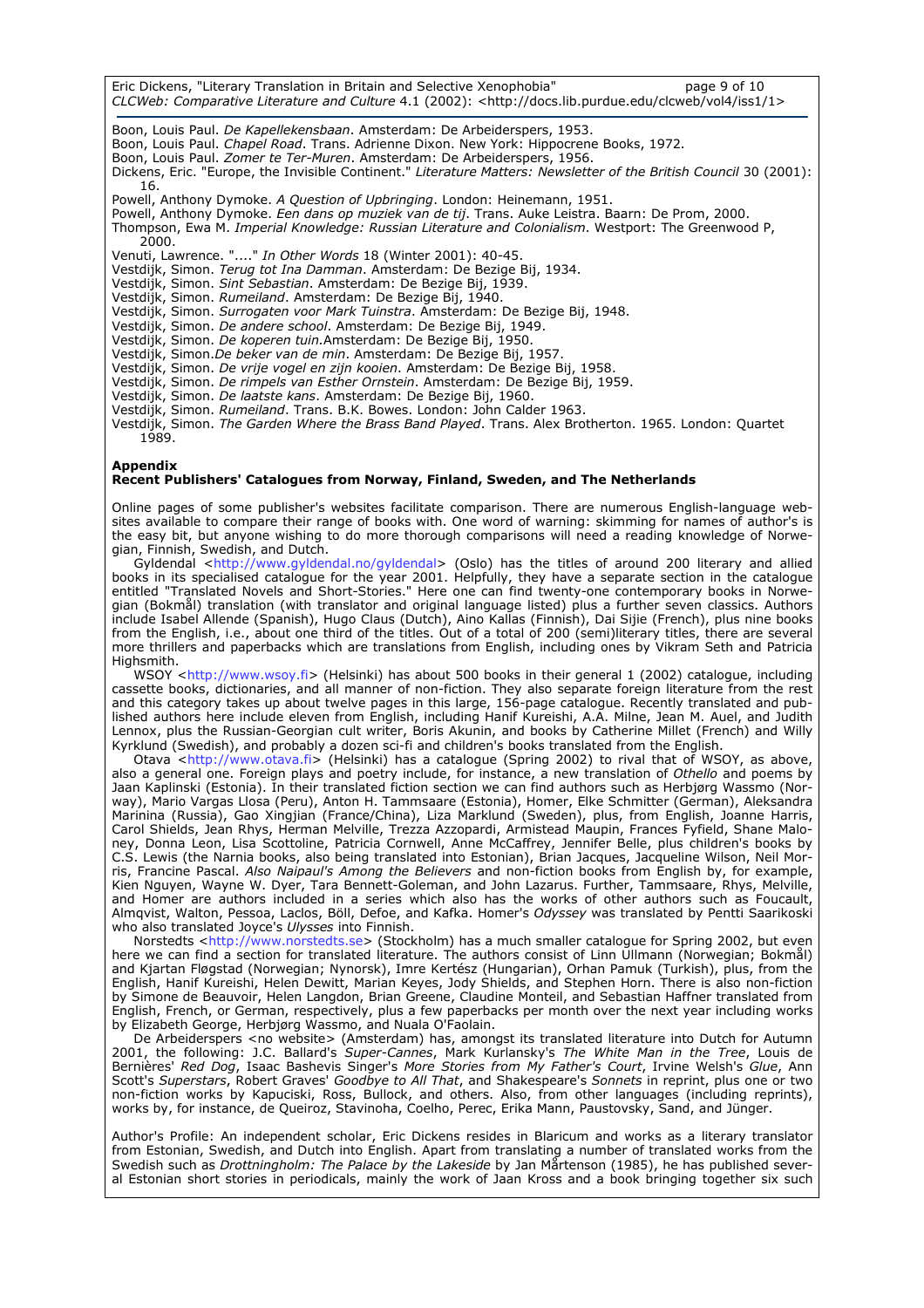Eric Dickens, "Literary Translation in Britain and Selective Xenophobia" page 9 of 10 CLCWeb: Comparative Literature and Culture 4.1 (2002): <http://docs.lib.purdue.edu/clcweb/vol4/iss1/1> Boon, Louis Paul. De Kapellekensbaan. Amsterdam: De Arbeiderspers, 1953. Boon, Louis Paul. Chapel Road. Trans. Adrienne Dixon. New York: Hippocrene Books, 1972. Boon, Louis Paul. *Zomer te Ter-Muren*. Amsterdam: De Arbeiderspers, 1956. Dickens, Eric. "Europe, the Invisible Continent." *Literature Matters: Newsletter of the British Council* 30 (2001): 16. Powell, Anthony Dymoke. A Question of Upbringing. London: Heinemann, 1951. Powell, Anthony Dymoke. Een dans op muziek van de tij. Trans. Auke Leistra. Baarn: De Prom, 2000. Thompson, Ewa M. Imperial Knowledge: Russian Literature and Colonialism. Westport: The Greenwood P, 2000. Venuti, Lawrence. "...." In Other Words 18 (Winter 2001): 40-45. Vestdijk, Simon. Terug tot Ina Damman. Amsterdam: De Bezige Bij, 1934. Vestdijk, Simon. Sint Sebastian. Amsterdam: De Bezige Bij, 1939. Vestdijk, Simon. Rumeiland. Amsterdam: De Bezige Bij, 1940. Vestdijk, Simon. Surrogaten voor Mark Tuinstra. Amsterdam: De Bezige Bij, 1948. Vestdijk, Simon. De andere school. Amsterdam: De Bezige Bij, 1949. Vestdijk, Simon. De koperen tuin.Amsterdam: De Bezige Bij, 1950. Vestdijk, Simon.De beker van de min. Amsterdam: De Bezige Bij, 1957. Vestdijk, Simon. De vrije vogel en zijn kooien. Amsterdam: De Bezige Bij, 1958. Vestdijk, Simon. De rimpels van Esther Ornstein. Amsterdam: De Bezige Bij, 1959. Vestdijk, Simon. De laatste kans. Amsterdam: De Bezige Bij, 1960. Vestdijk, Simon. *Rumeiland*. Trans. B.K. Bowes. London: John Calder 1963. Vestdijk, Simon. *The Garden Where the Brass Band Played*. Trans. Alex Brotherton. 1965. London: Quartet 1989.

#### Appendix

#### Recent Publishers' Catalogues from Norway, Finland, Sweden, and The Netherlands

Online pages of some publisher's websites facilitate comparison. There are numerous English-language websites available to compare their range of books with. One word of warning: skimming for names of author's is the easy bit, but anyone wishing to do more thorough comparisons will need a reading knowledge of Norwegian, Finnish, Swedish, and Dutch.

Gyldendal <http://www.gyldendal.no/gyldendal> (Oslo) has the titles of around 200 literary and allied books in its specialised catalogue for the year 2001. Helpfully, they have a separate section in the catalogue entitled "Translated Novels and Short-Stories." Here one can find twenty-one contemporary books in Norwegian (Bokmål) translation (with translator and original language listed) plus a further seven classics. Authors include Isabel Allende (Spanish), Hugo Claus (Dutch), Aino Kallas (Finnish), Dai Sijie (French), plus nine books from the English, i.e., about one third of the titles. Out of a total of 200 (semi)literary titles, there are several more thrillers and paperbacks which are translations from English, including ones by Vikram Seth and Patricia Highsmith.

WSOY <http://www.wsoy.fi> (Helsinki) has about 500 books in their general 1 (2002) catalogue, including cassette books, dictionaries, and all manner of non-fiction. They also separate foreign literature from the rest and this category takes up about twelve pages in this large, 156-page catalogue. Recently translated and published authors here include eleven from English, including Hanif Kureishi, A.A. Milne, Jean M. Auel, and Judith Lennox, plus the Russian-Georgian cult writer, Boris Akunin, and books by Catherine Millet (French) and Willy Kyrklund (Swedish), and probably a dozen sci-fi and children's books translated from the English.

 Otava <http://www.otava.fi> (Helsinki) has a catalogue (Spring 2002) to rival that of WSOY, as above, also a general one. Foreign plays and poetry include, for instance, a new translation of Othello and poems by Jaan Kaplinski (Estonia). In their translated fiction section we can find authors such as Herbjørg Wassmo (Norway), Mario Vargas Llosa (Peru), Anton H. Tammsaare (Estonia), Homer, Elke Schmitter (German), Aleksandra Marinina (Russia), Gao Xingjian (France/China), Liza Marklund (Sweden), plus, from English, Joanne Harris, Carol Shields, Jean Rhys, Herman Melville, Trezza Azzopardi, Armistead Maupin, Frances Fyfield, Shane Maloney, Donna Leon, Lisa Scottoline, Patricia Cornwell, Anne McCaffrey, Jennifer Belle, plus children's books by C.S. Lewis (the Narnia books, also being translated into Estonian), Brian Jacques, Jacqueline Wilson, Neil Morris, Francine Pascal. Also Naipaul's Among the Believers and non-fiction books from English by, for example, Kien Nguyen, Wayne W. Dyer, Tara Bennett-Goleman, and John Lazarus. Further, Tammsaare, Rhys, Melville, and Homer are authors included in a series which also has the works of other authors such as Foucault, Almqvist, Walton, Pessoa, Laclos, Böll, Defoe, and Kafka. Homer's Odyssey was translated by Pentti Saarikoski who also translated Joyce's Ulysses into Finnish.

 Norstedts <http://www.norstedts.se> (Stockholm) has a much smaller catalogue for Spring 2002, but even here we can find a section for translated literature. The authors consist of Linn Ullmann (Norwegian; Bokmål) and Kjartan Fløgstad (Norwegian; Nynorsk), Imre Kertész (Hungarian), Orhan Pamuk (Turkish), plus, from the English, Hanif Kureishi, Helen Dewitt, Marian Keyes, Jody Shields, and Stephen Horn. There is also non-fiction by Simone de Beauvoir, Helen Langdon, Brian Greene, Claudine Monteil, and Sebastian Haffner translated from English, French, or German, respectively, plus a few paperbacks per month over the next year including works by Elizabeth George, Herbjørg Wassmo, and Nuala O'Faolain.

 De Arbeiderspers <no website> (Amsterdam) has, amongst its translated literature into Dutch for Autumn 2001, the following: J.C. Ballard's *Super-Cannes*, Mark Kurlansky's The White Man in the Tree, Louis de Bernières' Red Dog, Isaac Bashevis Singer's More Stories from My Father's Court, Irvine Welsh's Glue, Ann Scott's Superstars, Robert Graves' Goodbye to All That, and Shakespeare's Sonnets in reprint, plus one or two non-fiction works by Kapuciski, Ross, Bullock, and others. Also, from other languages (including reprints), works by, for instance, de Queiroz, Stavinoha, Coelho, Perec, Erika Mann, Paustovsky, Sand, and Jünger.

Author's Profile: An independent scholar, Eric Dickens resides in Blaricum and works as a literary translator from Estonian, Swedish, and Dutch into English. Apart from translating a number of translated works from the Swedish such as Drottningholm: The Palace by the Lakeside by Jan Mårtenson (1985), he has published several Estonian short stories in periodicals, mainly the work of Jaan Kross and a book bringing together six such